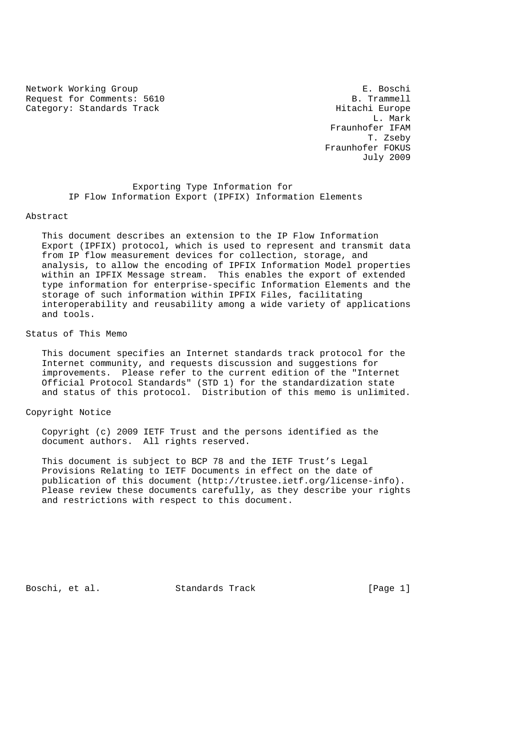Network Working Group **E. Boschi** Request for Comments: 5610 B. Trammell Category: Standards Track Hitachi Europe

 L. Mark Fraunhofer IFAM T. Zseby Fraunhofer FOKUS July 2009

> Exporting Type Information for IP Flow Information Export (IPFIX) Information Elements

#### Abstract

 This document describes an extension to the IP Flow Information Export (IPFIX) protocol, which is used to represent and transmit data from IP flow measurement devices for collection, storage, and analysis, to allow the encoding of IPFIX Information Model properties within an IPFIX Message stream. This enables the export of extended type information for enterprise-specific Information Elements and the storage of such information within IPFIX Files, facilitating interoperability and reusability among a wide variety of applications and tools.

## Status of This Memo

 This document specifies an Internet standards track protocol for the Internet community, and requests discussion and suggestions for improvements. Please refer to the current edition of the "Internet Official Protocol Standards" (STD 1) for the standardization state and status of this protocol. Distribution of this memo is unlimited.

Copyright Notice

 Copyright (c) 2009 IETF Trust and the persons identified as the document authors. All rights reserved.

 This document is subject to BCP 78 and the IETF Trust's Legal Provisions Relating to IETF Documents in effect on the date of publication of this document (http://trustee.ietf.org/license-info). Please review these documents carefully, as they describe your rights and restrictions with respect to this document.

Boschi, et al. Standards Track [Page 1]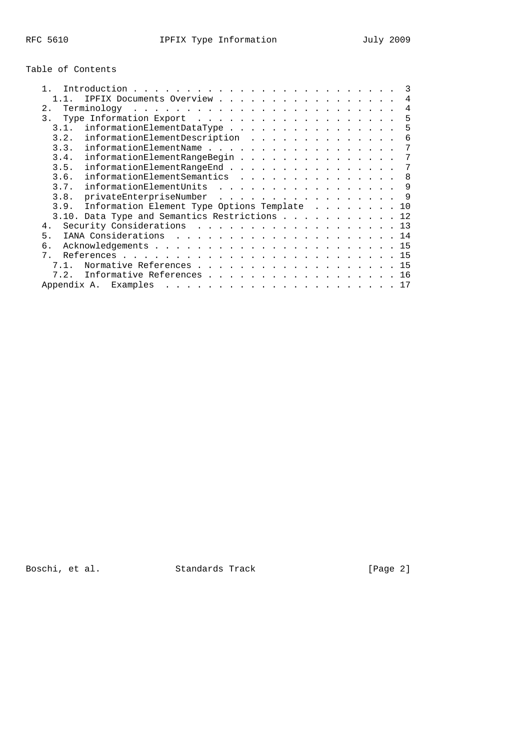# Table of Contents

|       |      |                                                                     |  |  |  |  |  |  |  |  |  |  | 3              |
|-------|------|---------------------------------------------------------------------|--|--|--|--|--|--|--|--|--|--|----------------|
|       |      | IPFIX Documents Overview                                            |  |  |  |  |  |  |  |  |  |  | $\overline{4}$ |
| 2.    |      |                                                                     |  |  |  |  |  |  |  |  |  |  | 4              |
| 3.    |      | Type Information Export $\dots \dots \dots \dots \dots \dots \dots$ |  |  |  |  |  |  |  |  |  |  | 5              |
|       | 3.1. | informationElementDataType                                          |  |  |  |  |  |  |  |  |  |  | 5              |
|       | 3.2. |                                                                     |  |  |  |  |  |  |  |  |  |  | 6              |
|       | 3.3. | informationElementName                                              |  |  |  |  |  |  |  |  |  |  | 7              |
|       | 3.4. | informationElementRangeBegin                                        |  |  |  |  |  |  |  |  |  |  | 7              |
|       | 3.5. |                                                                     |  |  |  |  |  |  |  |  |  |  | 7              |
|       | 3.6. | informationElementSemantics 8                                       |  |  |  |  |  |  |  |  |  |  |                |
|       | 3.7. | informationElementUnits 9                                           |  |  |  |  |  |  |  |  |  |  |                |
|       | 3.8. | privateEnterpriseNumber 9                                           |  |  |  |  |  |  |  |  |  |  |                |
|       |      | 3.9. Information Element Type Options Template 10                   |  |  |  |  |  |  |  |  |  |  |                |
|       |      | 3.10. Data Type and Semantics Restrictions 12                       |  |  |  |  |  |  |  |  |  |  |                |
| 4.    |      | Security Considerations 13                                          |  |  |  |  |  |  |  |  |  |  |                |
| 5.    |      |                                                                     |  |  |  |  |  |  |  |  |  |  |                |
| б.    |      |                                                                     |  |  |  |  |  |  |  |  |  |  |                |
| $7$ . |      |                                                                     |  |  |  |  |  |  |  |  |  |  |                |
|       | 71   | Normative References 15                                             |  |  |  |  |  |  |  |  |  |  |                |
|       | 7.2. | Informative References 16                                           |  |  |  |  |  |  |  |  |  |  |                |
|       |      |                                                                     |  |  |  |  |  |  |  |  |  |  |                |

Boschi, et al. Standards Track [Page 2]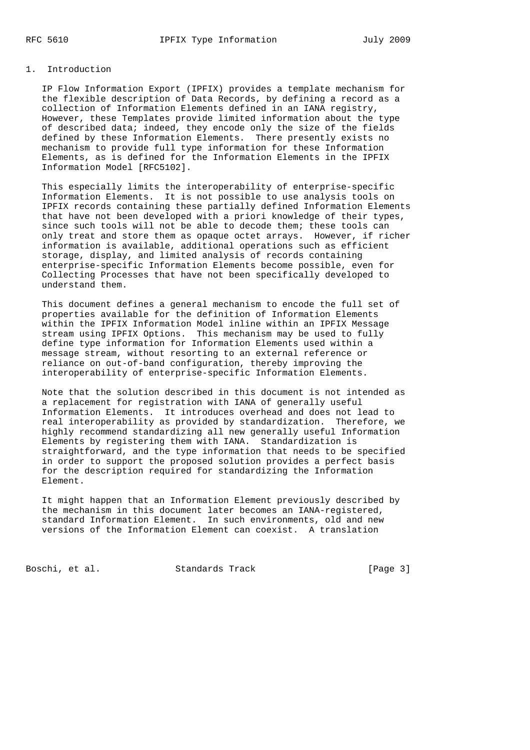#### 1. Introduction

 IP Flow Information Export (IPFIX) provides a template mechanism for the flexible description of Data Records, by defining a record as a collection of Information Elements defined in an IANA registry, However, these Templates provide limited information about the type of described data; indeed, they encode only the size of the fields defined by these Information Elements. There presently exists no mechanism to provide full type information for these Information Elements, as is defined for the Information Elements in the IPFIX Information Model [RFC5102].

 This especially limits the interoperability of enterprise-specific Information Elements. It is not possible to use analysis tools on IPFIX records containing these partially defined Information Elements that have not been developed with a priori knowledge of their types, since such tools will not be able to decode them; these tools can only treat and store them as opaque octet arrays. However, if richer information is available, additional operations such as efficient storage, display, and limited analysis of records containing enterprise-specific Information Elements become possible, even for Collecting Processes that have not been specifically developed to understand them.

 This document defines a general mechanism to encode the full set of properties available for the definition of Information Elements within the IPFIX Information Model inline within an IPFIX Message stream using IPFIX Options. This mechanism may be used to fully define type information for Information Elements used within a message stream, without resorting to an external reference or reliance on out-of-band configuration, thereby improving the interoperability of enterprise-specific Information Elements.

 Note that the solution described in this document is not intended as a replacement for registration with IANA of generally useful Information Elements. It introduces overhead and does not lead to real interoperability as provided by standardization. Therefore, we highly recommend standardizing all new generally useful Information Elements by registering them with IANA. Standardization is straightforward, and the type information that needs to be specified in order to support the proposed solution provides a perfect basis for the description required for standardizing the Information Element.

 It might happen that an Information Element previously described by the mechanism in this document later becomes an IANA-registered, standard Information Element. In such environments, old and new versions of the Information Element can coexist. A translation

Boschi, et al. Standards Track [Page 3]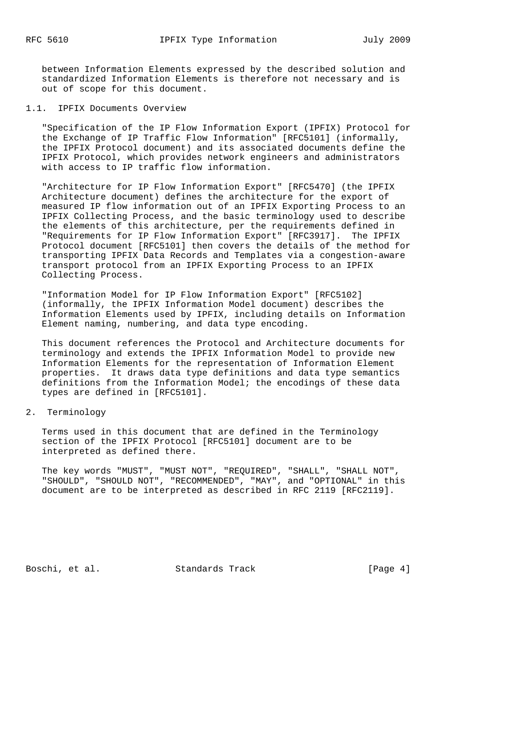between Information Elements expressed by the described solution and standardized Information Elements is therefore not necessary and is out of scope for this document.

### 1.1. IPFIX Documents Overview

 "Specification of the IP Flow Information Export (IPFIX) Protocol for the Exchange of IP Traffic Flow Information" [RFC5101] (informally, the IPFIX Protocol document) and its associated documents define the IPFIX Protocol, which provides network engineers and administrators with access to IP traffic flow information.

 "Architecture for IP Flow Information Export" [RFC5470] (the IPFIX Architecture document) defines the architecture for the export of measured IP flow information out of an IPFIX Exporting Process to an IPFIX Collecting Process, and the basic terminology used to describe the elements of this architecture, per the requirements defined in "Requirements for IP Flow Information Export" [RFC3917]. The IPFIX Protocol document [RFC5101] then covers the details of the method for transporting IPFIX Data Records and Templates via a congestion-aware transport protocol from an IPFIX Exporting Process to an IPFIX Collecting Process.

 "Information Model for IP Flow Information Export" [RFC5102] (informally, the IPFIX Information Model document) describes the Information Elements used by IPFIX, including details on Information Element naming, numbering, and data type encoding.

 This document references the Protocol and Architecture documents for terminology and extends the IPFIX Information Model to provide new Information Elements for the representation of Information Element properties. It draws data type definitions and data type semantics definitions from the Information Model; the encodings of these data types are defined in [RFC5101].

2. Terminology

 Terms used in this document that are defined in the Terminology section of the IPFIX Protocol [RFC5101] document are to be interpreted as defined there.

 The key words "MUST", "MUST NOT", "REQUIRED", "SHALL", "SHALL NOT", "SHOULD", "SHOULD NOT", "RECOMMENDED", "MAY", and "OPTIONAL" in this document are to be interpreted as described in RFC 2119 [RFC2119].

Boschi, et al. Standards Track [Page 4]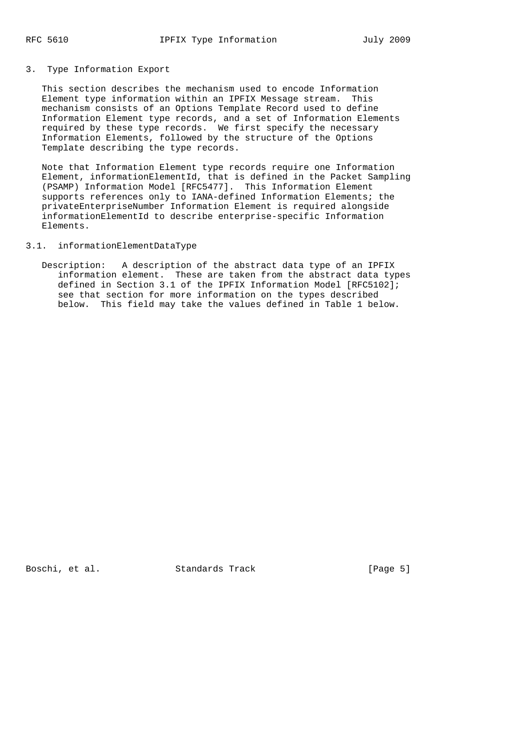### 3. Type Information Export

 This section describes the mechanism used to encode Information Element type information within an IPFIX Message stream. This mechanism consists of an Options Template Record used to define Information Element type records, and a set of Information Elements required by these type records. We first specify the necessary Information Elements, followed by the structure of the Options Template describing the type records.

 Note that Information Element type records require one Information Element, informationElementId, that is defined in the Packet Sampling (PSAMP) Information Model [RFC5477]. This Information Element supports references only to IANA-defined Information Elements; the privateEnterpriseNumber Information Element is required alongside informationElementId to describe enterprise-specific Information Elements.

### 3.1. informationElementDataType

 Description: A description of the abstract data type of an IPFIX information element. These are taken from the abstract data types defined in Section 3.1 of the IPFIX Information Model [RFC5102]; see that section for more information on the types described below. This field may take the values defined in Table 1 below.

Boschi, et al. Standards Track [Page 5]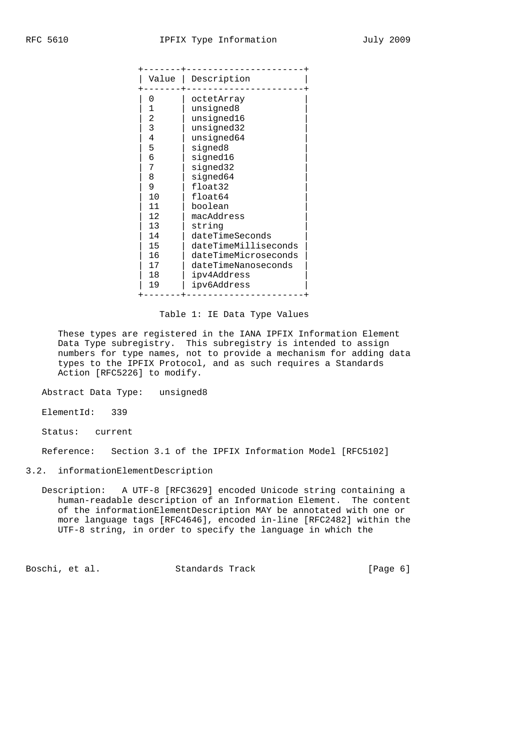| Value          | Description          |
|----------------|----------------------|
|                |                      |
| 0              | octetArray           |
| 1              | unsigned8            |
| 2              | unsigned16           |
| 3              | unsigned32           |
| 4              | unsigned64           |
| 5              | signed8              |
| 6              | signed16             |
| 7              | signed32             |
| 8              | signed64             |
| 9              | float32              |
| 1 <sub>0</sub> | float64              |
| 11             | boolean              |
| 12             | macAddress           |
| 13             | string               |
| 14             | dateTimeSeconds      |
| 15             | dateTimeMilliseconds |
| 16             | dateTimeMicroseconds |
| 17             | dateTimeNanoseconds  |
| 18             | ipv4Address          |
| 19             | ipv6Address          |
|                |                      |

Table 1: IE Data Type Values

 These types are registered in the IANA IPFIX Information Element Data Type subregistry. This subregistry is intended to assign numbers for type names, not to provide a mechanism for adding data types to the IPFIX Protocol, and as such requires a Standards Action [RFC5226] to modify.

Abstract Data Type: unsigned8

ElementId: 339

Status: current

Reference: Section 3.1 of the IPFIX Information Model [RFC5102]

## 3.2. informationElementDescription

 Description: A UTF-8 [RFC3629] encoded Unicode string containing a human-readable description of an Information Element. The content of the informationElementDescription MAY be annotated with one or more language tags [RFC4646], encoded in-line [RFC2482] within the UTF-8 string, in order to specify the language in which the

Boschi, et al. Standards Track [Page 6]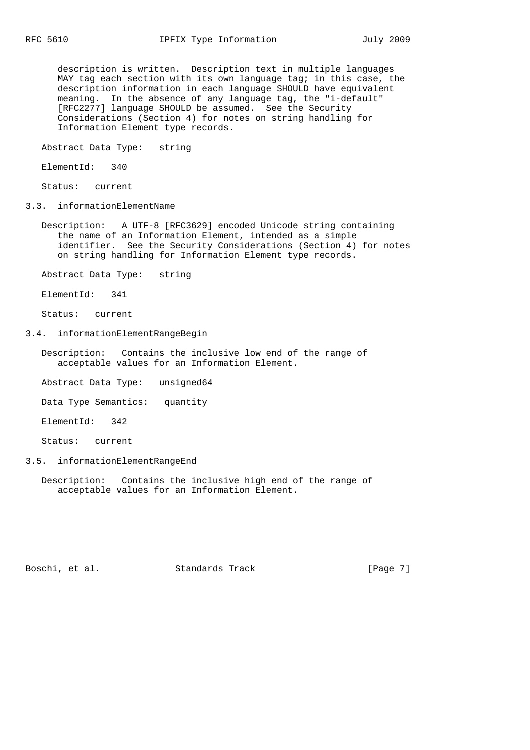description is written. Description text in multiple languages MAY tag each section with its own language tag; in this case, the description information in each language SHOULD have equivalent meaning. In the absence of any language tag, the "i-default" [RFC2277] language SHOULD be assumed. See the Security Considerations (Section 4) for notes on string handling for Information Element type records.

Abstract Data Type: string

ElementId: 340

Status: current

3.3. informationElementName

- Description: A UTF-8 [RFC3629] encoded Unicode string containing the name of an Information Element, intended as a simple identifier. See the Security Considerations (Section 4) for notes on string handling for Information Element type records.
- Abstract Data Type: string

ElementId: 341

Status: current

3.4. informationElementRangeBegin

 Description: Contains the inclusive low end of the range of acceptable values for an Information Element.

Abstract Data Type: unsigned64

Data Type Semantics: quantity

ElementId: 342

Status: current

3.5. informationElementRangeEnd

 Description: Contains the inclusive high end of the range of acceptable values for an Information Element.

Boschi, et al. Standards Track [Page 7]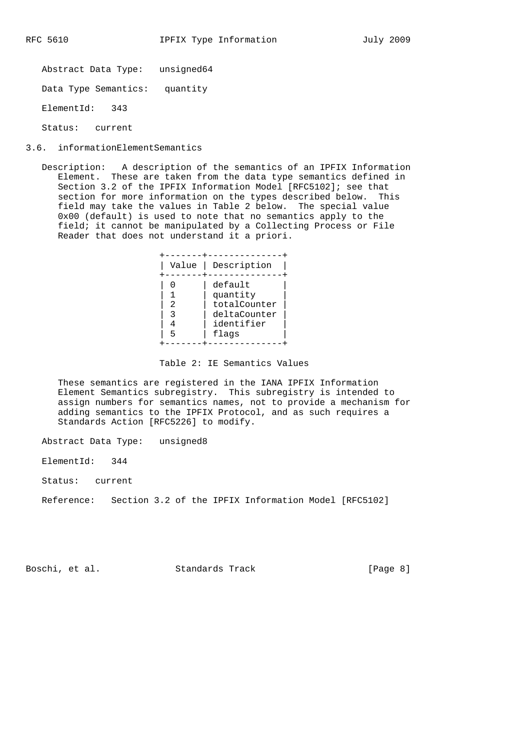Abstract Data Type: unsigned64

Data Type Semantics: quantity

ElementId: 343

Status: current

- 3.6. informationElementSemantics
	- Description: A description of the semantics of an IPFIX Information Element. These are taken from the data type semantics defined in Section 3.2 of the IPFIX Information Model [RFC5102]; see that section for more information on the types described below. This field may take the values in Table 2 below. The special value 0x00 (default) is used to note that no semantics apply to the field; it cannot be manipulated by a Collecting Process or File Reader that does not understand it a priori.

| Value |
|-------|
| 5     |

Table 2: IE Semantics Values

 These semantics are registered in the IANA IPFIX Information Element Semantics subregistry. This subregistry is intended to assign numbers for semantics names, not to provide a mechanism for adding semantics to the IPFIX Protocol, and as such requires a Standards Action [RFC5226] to modify.

Abstract Data Type: unsigned8

ElementId: 344

Status: current

Reference: Section 3.2 of the IPFIX Information Model [RFC5102]

Boschi, et al. Standards Track [Page 8]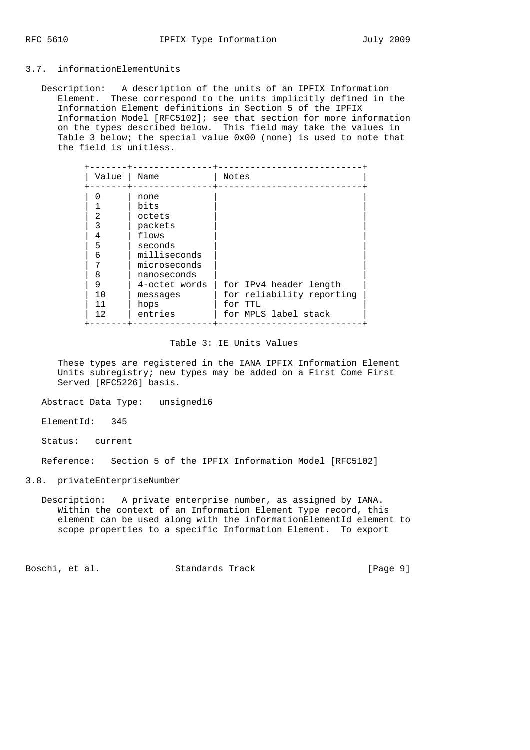### 3.7. informationElementUnits

 Description: A description of the units of an IPFIX Information Element. These correspond to the units implicitly defined in the Information Element definitions in Section 5 of the IPFIX Information Model [RFC5102]; see that section for more information on the types described below. This field may take the values in Table 3 below; the special value 0x00 (none) is used to note that the field is unitless.

| Value                                                  | Name                                                                                                                                                 | Notes                                                                                  |
|--------------------------------------------------------|------------------------------------------------------------------------------------------------------------------------------------------------------|----------------------------------------------------------------------------------------|
| 2<br>3<br>4<br>5<br>6<br>7<br>8<br>9<br>10<br>11<br>12 | none<br>bits<br>octets<br>packets<br>flows<br>seconds<br>milliseconds<br>microseconds<br>nanoseconds<br>4-octet words<br>messages<br>hops<br>entries | for IPv4 header length<br>for reliability reporting<br>for TTL<br>for MPLS label stack |

### Table 3: IE Units Values

 These types are registered in the IANA IPFIX Information Element Units subregistry; new types may be added on a First Come First Served [RFC5226] basis.

Abstract Data Type: unsigned16

ElementId: 345

Status: current

Reference: Section 5 of the IPFIX Information Model [RFC5102]

#### 3.8. privateEnterpriseNumber

 Description: A private enterprise number, as assigned by IANA. Within the context of an Information Element Type record, this element can be used along with the informationElementId element to scope properties to a specific Information Element. To export

Boschi, et al. Standards Track [Page 9]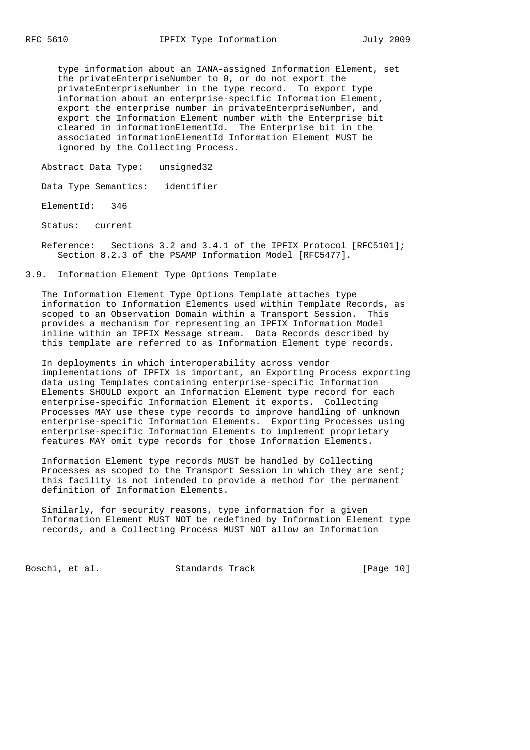type information about an IANA-assigned Information Element, set the privateEnterpriseNumber to 0, or do not export the privateEnterpriseNumber in the type record. To export type information about an enterprise-specific Information Element, export the enterprise number in privateEnterpriseNumber, and export the Information Element number with the Enterprise bit cleared in informationElementId. The Enterprise bit in the associated informationElementId Information Element MUST be ignored by the Collecting Process.

Abstract Data Type: unsigned32

Data Type Semantics: identifier

ElementId: 346

Status: current

 Reference: Sections 3.2 and 3.4.1 of the IPFIX Protocol [RFC5101]; Section 8.2.3 of the PSAMP Information Model [RFC5477].

3.9. Information Element Type Options Template

 The Information Element Type Options Template attaches type information to Information Elements used within Template Records, as scoped to an Observation Domain within a Transport Session. This provides a mechanism for representing an IPFIX Information Model inline within an IPFIX Message stream. Data Records described by this template are referred to as Information Element type records.

 In deployments in which interoperability across vendor implementations of IPFIX is important, an Exporting Process exporting data using Templates containing enterprise-specific Information Elements SHOULD export an Information Element type record for each enterprise-specific Information Element it exports. Collecting Processes MAY use these type records to improve handling of unknown enterprise-specific Information Elements. Exporting Processes using enterprise-specific Information Elements to implement proprietary features MAY omit type records for those Information Elements.

 Information Element type records MUST be handled by Collecting Processes as scoped to the Transport Session in which they are sent; this facility is not intended to provide a method for the permanent definition of Information Elements.

 Similarly, for security reasons, type information for a given Information Element MUST NOT be redefined by Information Element type records, and a Collecting Process MUST NOT allow an Information

Boschi, et al. Standards Track [Page 10]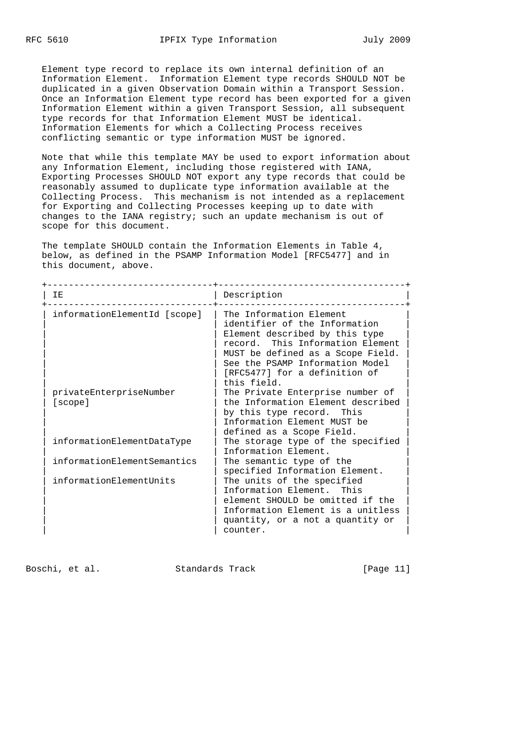Element type record to replace its own internal definition of an Information Element. Information Element type records SHOULD NOT be duplicated in a given Observation Domain within a Transport Session. Once an Information Element type record has been exported for a given Information Element within a given Transport Session, all subsequent type records for that Information Element MUST be identical. Information Elements for which a Collecting Process receives conflicting semantic or type information MUST be ignored.

 Note that while this template MAY be used to export information about any Information Element, including those registered with IANA, Exporting Processes SHOULD NOT export any type records that could be reasonably assumed to duplicate type information available at the Collecting Process. This mechanism is not intended as a replacement for Exporting and Collecting Processes keeping up to date with changes to the IANA registry; such an update mechanism is out of scope for this document.

 The template SHOULD contain the Information Elements in Table 4, below, as defined in the PSAMP Information Model [RFC5477] and in this document, above.

| ΙE                                 | Description                                                                                                                                                                                                                                            |  |  |  |  |  |
|------------------------------------|--------------------------------------------------------------------------------------------------------------------------------------------------------------------------------------------------------------------------------------------------------|--|--|--|--|--|
| informationElementId [scope]       | The Information Element<br>identifier of the Information<br>Element described by this type<br>record. This Information Element<br>MUST be defined as a Scope Field.<br>See the PSAMP Information Model<br>[RFC5477] for a definition of<br>this field. |  |  |  |  |  |
| privateEnterpriseNumber<br>[scope] | The Private Enterprise number of<br>the Information Element described<br>by this type record. This<br>Information Element MUST be<br>defined as a Scope Field.                                                                                         |  |  |  |  |  |
| informationElementDataType         | The storage type of the specified<br>Information Element.                                                                                                                                                                                              |  |  |  |  |  |
| informationElementSemantics        | The semantic type of the<br>specified Information Element.                                                                                                                                                                                             |  |  |  |  |  |
| informationElementUnits            | The units of the specified<br>Information Element. This<br>element SHOULD be omitted if the<br>Information Element is a unitless<br>quantity, or a not a quantity or<br>counter.                                                                       |  |  |  |  |  |

Boschi, et al. Standards Track [Page 11]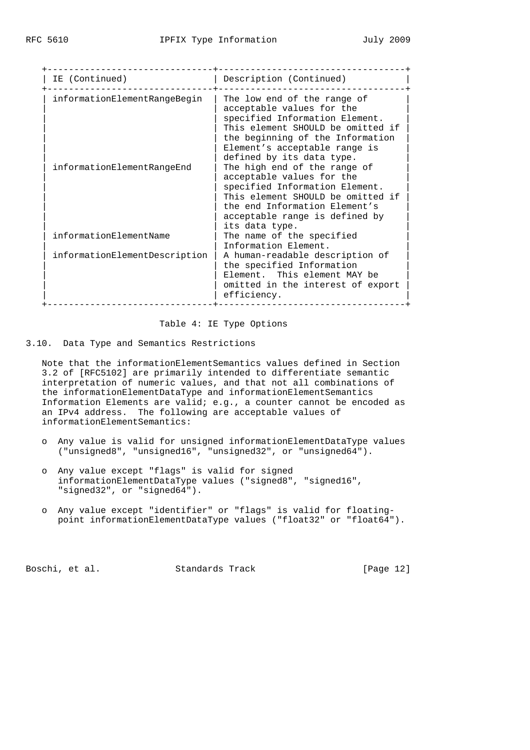| IE (Continued)                | Description (Continued)                                                                                                                                                                                                           |
|-------------------------------|-----------------------------------------------------------------------------------------------------------------------------------------------------------------------------------------------------------------------------------|
| informationElementRangeBegin  | The low end of the range of<br>acceptable values for the<br>specified Information Element.<br>This element SHOULD be omitted if<br>the beginning of the Information<br>Element's acceptable range is<br>defined by its data type. |
| informationElementRangeEnd    | The high end of the range of<br>acceptable values for the<br>specified Information Element.<br>This element SHOULD be omitted if<br>the end Information Element's<br>acceptable range is defined by<br>its data type.             |
| informationElementName        | The name of the specified<br>Information Element.                                                                                                                                                                                 |
| informationElementDescription | A human-readable description of<br>the specified Information<br>Element. This element MAY be<br>omitted in the interest of export<br>efficiency.                                                                                  |

Table 4: IE Type Options

## 3.10. Data Type and Semantics Restrictions

 Note that the informationElementSemantics values defined in Section 3.2 of [RFC5102] are primarily intended to differentiate semantic interpretation of numeric values, and that not all combinations of the informationElementDataType and informationElementSemantics Information Elements are valid; e.g., a counter cannot be encoded as an IPv4 address. The following are acceptable values of informationElementSemantics:

- o Any value is valid for unsigned informationElementDataType values ("unsigned8", "unsigned16", "unsigned32", or "unsigned64").
- o Any value except "flags" is valid for signed informationElementDataType values ("signed8", "signed16", "signed32", or "signed64").
- o Any value except "identifier" or "flags" is valid for floating point informationElementDataType values ("float32" or "float64").

Boschi, et al. Standards Track [Page 12]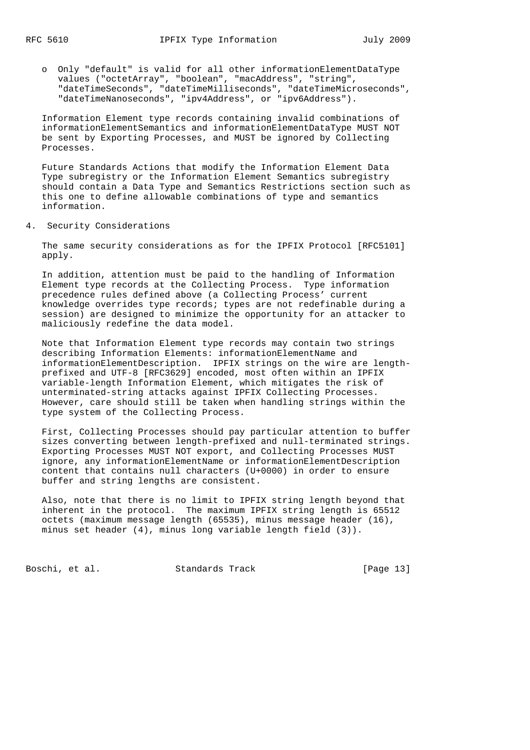o Only "default" is valid for all other informationElementDataType values ("octetArray", "boolean", "macAddress", "string", "dateTimeSeconds", "dateTimeMilliseconds", "dateTimeMicroseconds", "dateTimeNanoseconds", "ipv4Address", or "ipv6Address").

 Information Element type records containing invalid combinations of informationElementSemantics and informationElementDataType MUST NOT be sent by Exporting Processes, and MUST be ignored by Collecting Processes.

 Future Standards Actions that modify the Information Element Data Type subregistry or the Information Element Semantics subregistry should contain a Data Type and Semantics Restrictions section such as this one to define allowable combinations of type and semantics information.

4. Security Considerations

 The same security considerations as for the IPFIX Protocol [RFC5101] apply.

 In addition, attention must be paid to the handling of Information Element type records at the Collecting Process. Type information precedence rules defined above (a Collecting Process' current knowledge overrides type records; types are not redefinable during a session) are designed to minimize the opportunity for an attacker to maliciously redefine the data model.

 Note that Information Element type records may contain two strings describing Information Elements: informationElementName and informationElementDescription. IPFIX strings on the wire are length prefixed and UTF-8 [RFC3629] encoded, most often within an IPFIX variable-length Information Element, which mitigates the risk of unterminated-string attacks against IPFIX Collecting Processes. However, care should still be taken when handling strings within the type system of the Collecting Process.

 First, Collecting Processes should pay particular attention to buffer sizes converting between length-prefixed and null-terminated strings. Exporting Processes MUST NOT export, and Collecting Processes MUST ignore, any informationElementName or informationElementDescription content that contains null characters (U+0000) in order to ensure buffer and string lengths are consistent.

 Also, note that there is no limit to IPFIX string length beyond that inherent in the protocol. The maximum IPFIX string length is 65512 octets (maximum message length (65535), minus message header (16), minus set header (4), minus long variable length field (3)).

Boschi, et al. Standards Track [Page 13]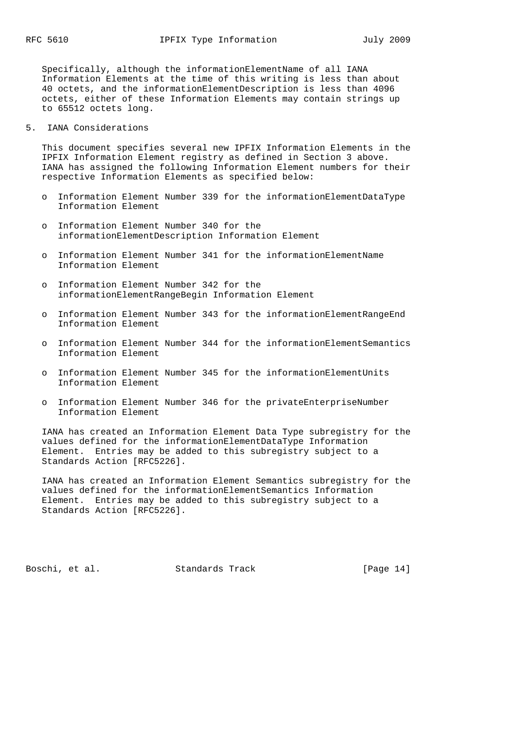Specifically, although the informationElementName of all IANA Information Elements at the time of this writing is less than about 40 octets, and the informationElementDescription is less than 4096 octets, either of these Information Elements may contain strings up to 65512 octets long.

5. IANA Considerations

 This document specifies several new IPFIX Information Elements in the IPFIX Information Element registry as defined in Section 3 above. IANA has assigned the following Information Element numbers for their respective Information Elements as specified below:

- o Information Element Number 339 for the informationElementDataType Information Element
- o Information Element Number 340 for the informationElementDescription Information Element
- o Information Element Number 341 for the informationElementName Information Element
- o Information Element Number 342 for the informationElementRangeBegin Information Element
- Information Element Number 343 for the informationElementRangeEnd Information Element
- o Information Element Number 344 for the informationElementSemantics Information Element
- o Information Element Number 345 for the informationElementUnits Information Element
- o Information Element Number 346 for the privateEnterpriseNumber Information Element

 IANA has created an Information Element Data Type subregistry for the values defined for the informationElementDataType Information Element. Entries may be added to this subregistry subject to a Standards Action [RFC5226].

 IANA has created an Information Element Semantics subregistry for the values defined for the informationElementSemantics Information Element. Entries may be added to this subregistry subject to a Standards Action [RFC5226].

Boschi, et al. Standards Track [Page 14]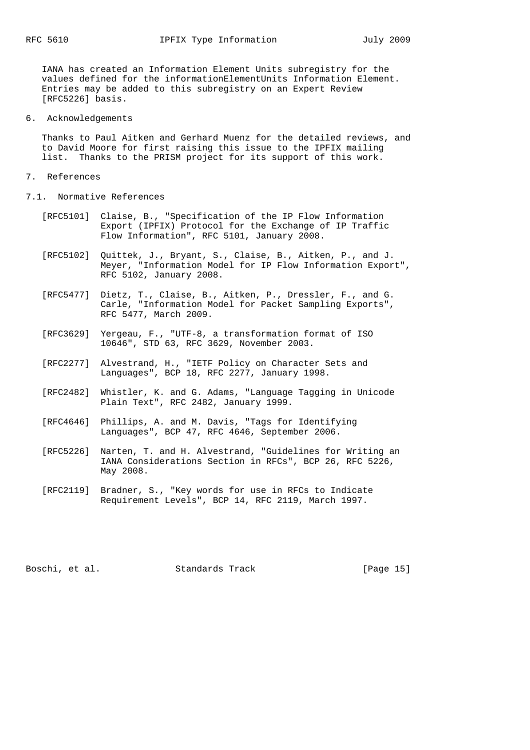IANA has created an Information Element Units subregistry for the values defined for the informationElementUnits Information Element. Entries may be added to this subregistry on an Expert Review [RFC5226] basis.

6. Acknowledgements

 Thanks to Paul Aitken and Gerhard Muenz for the detailed reviews, and to David Moore for first raising this issue to the IPFIX mailing list. Thanks to the PRISM project for its support of this work.

- 7. References
- 7.1. Normative References
	- [RFC5101] Claise, B., "Specification of the IP Flow Information Export (IPFIX) Protocol for the Exchange of IP Traffic Flow Information", RFC 5101, January 2008.
	- [RFC5102] Quittek, J., Bryant, S., Claise, B., Aitken, P., and J. Meyer, "Information Model for IP Flow Information Export", RFC 5102, January 2008.
	- [RFC5477] Dietz, T., Claise, B., Aitken, P., Dressler, F., and G. Carle, "Information Model for Packet Sampling Exports", RFC 5477, March 2009.
	- [RFC3629] Yergeau, F., "UTF-8, a transformation format of ISO 10646", STD 63, RFC 3629, November 2003.
	- [RFC2277] Alvestrand, H., "IETF Policy on Character Sets and Languages", BCP 18, RFC 2277, January 1998.
	- [RFC2482] Whistler, K. and G. Adams, "Language Tagging in Unicode Plain Text", RFC 2482, January 1999.
	- [RFC4646] Phillips, A. and M. Davis, "Tags for Identifying Languages", BCP 47, RFC 4646, September 2006.
	- [RFC5226] Narten, T. and H. Alvestrand, "Guidelines for Writing an IANA Considerations Section in RFCs", BCP 26, RFC 5226, May 2008.
	- [RFC2119] Bradner, S., "Key words for use in RFCs to Indicate Requirement Levels", BCP 14, RFC 2119, March 1997.

Boschi, et al. Standards Track [Page 15]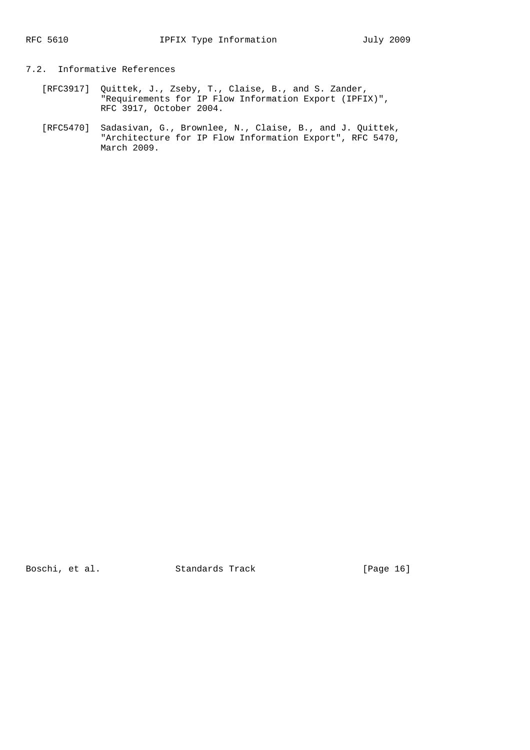# 7.2. Informative References

- [RFC3917] Quittek, J., Zseby, T., Claise, B., and S. Zander, "Requirements for IP Flow Information Export (IPFIX)", RFC 3917, October 2004.
- [RFC5470] Sadasivan, G., Brownlee, N., Claise, B., and J. Quittek, "Architecture for IP Flow Information Export", RFC 5470, March 2009.

Boschi, et al. Standards Track [Page 16]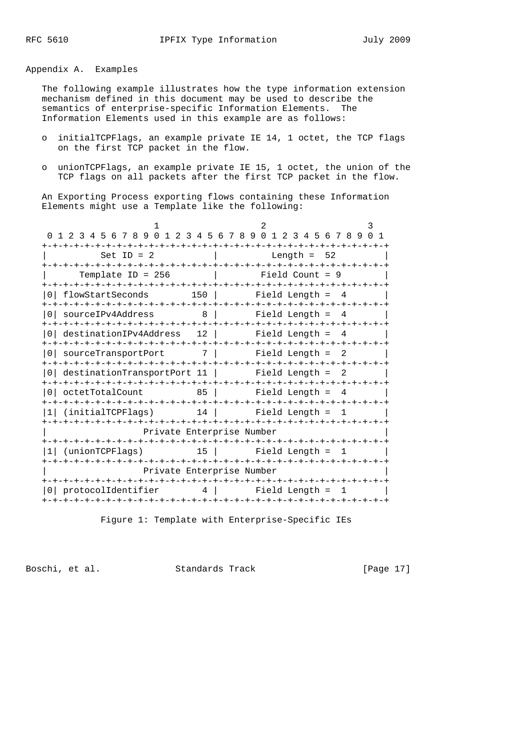Appendix A. Examples

 The following example illustrates how the type information extension mechanism defined in this document may be used to describe the semantics of enterprise-specific Information Elements. The Information Elements used in this example are as follows:

- o initialTCPFlags, an example private IE 14, 1 octet, the TCP flags on the first TCP packet in the flow.
- o unionTCPFlags, an example private IE 15, 1 octet, the union of the TCP flags on all packets after the first TCP packet in the flow.

 An Exporting Process exporting flows containing these Information Elements might use a Template like the following:

| -+-+-+-+-+-+-+-+-+-+                                          |          | 0 1 2 3 4 5 6 7 8 9 0 1 2 3 4 5 6 7 8 9 0 1 2 3 4 5 6 7 8 9 0 1<br>-+-+-+-+-+-+-+-+-+-+-+<br>-+-+-+-+-+-+-+-+-+-+-+ |
|---------------------------------------------------------------|----------|---------------------------------------------------------------------------------------------------------------------|
| Set ID = $2$                                                  |          | Length = $52$                                                                                                       |
| Template ID = $256$                                           |          | Field Count = 9                                                                                                     |
| -+-+-+-+-+-+-+-+-+-+-+-+-+-+-+-+-+-+-+-<br>0 flowStartSeconds |          | -+-+-+-+-+-+-+-+-+-+-+<br>$150$ $\vert$<br>Field Length =<br>- 4                                                    |
| sourceIPv4Address<br>0 I                                      |          | 8  <br>Field Length $= 4$                                                                                           |
| 0 destinationIPv4Address 12                                   |          | Field Length =<br>4                                                                                                 |
| sourceTransportPort<br>0 <sup>1</sup>                         |          | 7 <sup>1</sup><br>Field Length =<br>- 2                                                                             |
| 0 destinationTransportPort 11   Field Length = 2              |          |                                                                                                                     |
| octetTotalCount                                               | 85       | Field Length =<br>-4                                                                                                |
| (initialTCPFlags)                                             |          | 14   Field Length = 1                                                                                               |
|                                                               |          | Private Enterprise Number                                                                                           |
| -+-+-+-+-+-+-+-+-+-+-+<br>(unionTCPFlags)                     | 15       | -+-+-+-+-+-+-+-+-+-+-+<br>Field Length $=$ 1                                                                        |
|                                                               |          | Private Enterprise Number                                                                                           |
| protocolIdentifier                                            | $4 \mid$ | Field Length =                                                                                                      |
|                                                               |          |                                                                                                                     |

Figure 1: Template with Enterprise-Specific IEs

Boschi, et al. Standards Track [Page 17]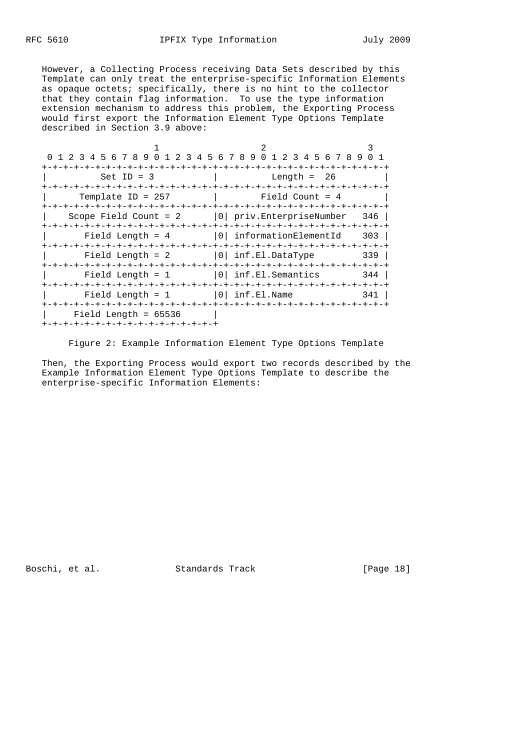However, a Collecting Process receiving Data Sets described by this Template can only treat the enterprise-specific Information Elements as opaque octets; specifically, there is no hint to the collector that they contain flag information. To use the type information extension mechanism to address this problem, the Exporting Process would first export the Information Element Type Options Template described in Section 3.9 above:

| 0 1 2 3 4 5 6 7 8 9 0 1 2 3 4 5 6 7 8 9 0 1 2 3 4 5 6 7 8 9 |                                       |     |
|-------------------------------------------------------------|---------------------------------------|-----|
|                                                             | -+-+-+-+-+-+-+-+-+-+-+-+-+-+-+-+-+-+- |     |
| $Set ID = 3$                                                | Length = $26$                         |     |
|                                                             |                                       |     |
| Template ID = $257$                                         | Field Count = 4                       |     |
|                                                             |                                       |     |
| Scope Field Count = $2$   0  priv. EnterpriseNumber         |                                       | 346 |
|                                                             |                                       |     |
| Field Length = $4$                                          | 0 informationElementId                | 303 |
|                                                             |                                       |     |
| Field Length = $2$                                          | $ 0 $ inf.El.DataType                 | 339 |
|                                                             |                                       |     |
| Field Length $= 1$                                          | $ 0 $ inf.El.Semantics                | 344 |
|                                                             |                                       |     |
| Field Length = $1$                                          | 0 <br>inf.El.Name                     | 341 |
|                                                             |                                       |     |
| Field Length = $65536$                                      |                                       |     |
| -+-+-+-+-+-+-+-+-+-+-+-+-+-+-+-+-                           |                                       |     |

Figure 2: Example Information Element Type Options Template

 Then, the Exporting Process would export two records described by the Example Information Element Type Options Template to describe the enterprise-specific Information Elements:

Boschi, et al. Standards Track [Page 18]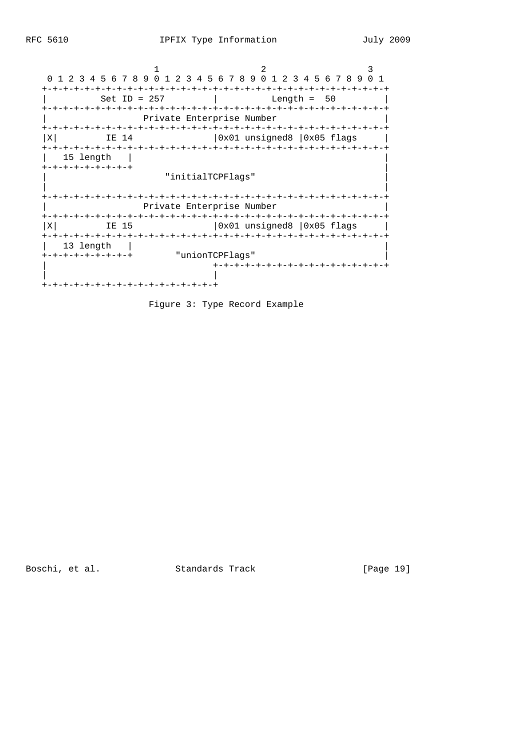1 2 3 0 1 2 3 4 5 6 7 8 9 0 1 2 3 4 5 6 7 8 9 0 1 2 3 4 5 6 7 8 9 0 1 +-+-+-+-+-+-+-+-+-+-+-+-+-+-+-+-+-+-+-+-+-+-+-+-+-+-+-+-+-+-+-+-+ | Set ID = 257 | Length = 50 | +-+-+-+-+-+-+-+-+-+-+-+-+-+-+-+-+-+-+-+-+-+-+-+-+-+-+-+-+-+-+-+-+ | Private Enterprise Number | +-+-+-+-+-+-+-+-+-+-+-+-+-+-+-+-+-+-+-+-+-+-+-+-+-+-+-+-+-+-+-+-+  $|X|$  IE 14  $|0x01$  unsigned8  $|0x05$  flags +-+-+-+-+-+-+-+-+-+-+-+-+-+-+-+-+-+-+-+-+-+-+-+-+-+-+-+-+-+-+-+-+ | 15 length | | +-+-+-+-+-+-+-+-+ | | "initialTCPFlags" | | | +-+-+-+-+-+-+-+-+-+-+-+-+-+-+-+-+-+-+-+-+-+-+-+-+-+-+-+-+-+-+-+-+ | Private Enterprise Number | +-+-+-+-+-+-+-+-+-+-+-+-+-+-+-+-+-+-+-+-+-+-+-+-+-+-+-+-+-+-+-+-+  $|0x01$  unsigned8  $|0x05$  flags  $|$  +-+-+-+-+-+-+-+-+-+-+-+-+-+-+-+-+-+-+-+-+-+-+-+-+-+-+-+-+-+-+-+-+ | 13 length | | +-+-+-+-+-+-+-+-+ "unionTCPFlags" | | +-+-+-+-+-+-+-+-+-+-+-+-+-+-+-+-+ | | +-+-+-+-+-+-+-+-+-+-+-+-+-+-+-+-+

Figure 3: Type Record Example

Boschi, et al. Standards Track [Page 19]